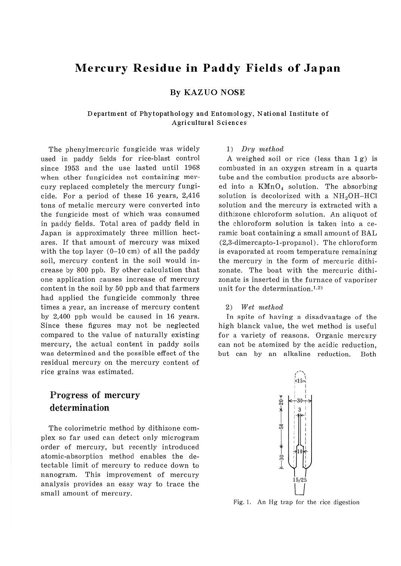# **Mercury Residue in Paddy Fields of Japan**

## By KAZ UO **NOSE**

## Department of Phytopathology and Entomology, National Institute of **Agricultural Sciences**

The phenylmercuric fungicide was widely used in paddy fields for rice-blast control since 1953 and the use lasted until 1968 when other fungicides not containing mercury replaced completely the mercury fungicide. For a period of these 16 years, 2,416 tons of metalic mercury were converted into the fungicide most of which was consumed in paddy fields. Total area of paddy field in Japan is approximately three million hectares. If that amount of mercury was mixed with the top layer  $(0-10 \text{ cm})$  of all the paddy soil, mercury content in the soil would increase by 800 ppb. By other calculation that one application causes increase of mercury content in the soil by 50 ppb and that farmers had applied the fungicide commonly three times a year, an increase of mercury content by 2,400 ppb would be caused in 16 years. Since these figures may not be neglected compared to the value of naturally existing mercury, the actual content in paddy soils was determined and the possible effect of the residual mercury on the mercury content of rice grains was estimated.

## Progress of mercury determination

The colorimetric method by dithizone complex so far used can detect only microgram order of mercury, but recently introduced atomic-absorption method enables the detectable limit of mercury to reduce down to nanogram. This improvement of mercury analysis provides an easy way to trace the small amount of mercury.

#### 1) *Dry* method

A weighed soil or rice (less than  $1g$ ) is combusted in an oxygen stream in a quarts tube and the combution products are absorbed into a KMnO<sub>4</sub> solution. The absorbing solution is decolorized with a NH<sub>2</sub>OH-HCl solution and the mercury is extracted with a dithizone chloroform solution. An aliquot of the chloroform solution is taken into a ceramic boat containing a small amount of BAL (2,3-dimercapto-1-propanol) . The chloroform is evaporated at room temperature remaining the mercury in the form of mercuric dithizonate. The boat with the mercuric dithizonate is inserted in the furnace of vaporizer unit for the determination.<sup>1.2)</sup>

### 2) *Wet method*

In spite of having a disadvantage of the high blanck value, the wet method is useful for a variety of reasons. Organic mercury can not be atomized by the acidic reduction, but can by an alkaline reduction. Both



Fig. I. An Hg trap for the rice digestion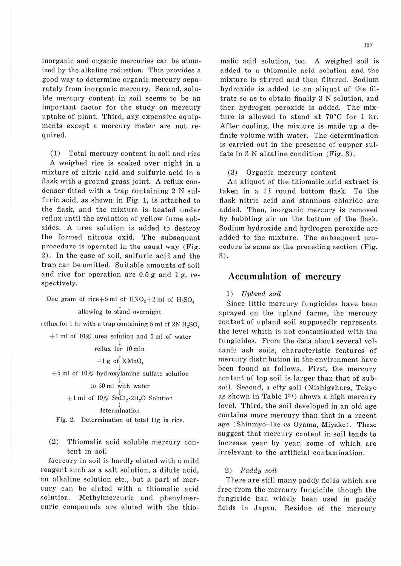inorganic and organic mercuries can be atomized by the alkaline reduction. This provides a good way to determine organic mercury separately from inorganic mercury. Second, soluble mercury content in soil seems to be an important factor for the study on mercury uptake of plant. Third, any expensive equipments except a mercury meter are not re- quired.

( 1) Total mercury content in soil and rice A weighed rice is soaked over night in a mixture of nitric acid and sulfuric acid in a flask with a ground grass joint. A reflux con- denser fitted with a trap containing 2 N sulfuric acid, as shown in Fig. 1, is attached to the flask, and the mixture is heated under refiux until the evolution of yellow fume subsides. A urea solution is added to destroy the formed nitrous oxid. The subsequent procedure is operated in the usual way (Fig. 2). In the case of soil, sulfuric acid and the trap can be omitted. Suitable amounts of soil and rice for operation are 0.5 g and 1 g, respectively.

One gram of rice + 5 ml of  $HNO<sub>3</sub>+2$  ml of  $H<sub>2</sub>SO<sub>4</sub>$ allowing to stand overnight reflux for 1 hr with a trap containing 5 ml of 2N  $\rm{H}_{2}SO_{4}$  $+1$  ml of 10% urea solution and 5 ml of water ! reflux for 10 min  $+1$  g of KMnO<sub>4</sub> 1  $+5$  ml of 10% hydroxylamine sulfate solution ! to 50 ml with water

$$
+1 \text{ ml of } 10\% \text{ SnCl}_2 \cdot 2\text{H}_2\text{O Solution}
$$

# ! determination

Fig. 2. Determination of total Hg in rice.

(2) Thiomalic acid soluble mercury content in soil

Mercury in soil is hardly eluted with a mild reagent such as a salt solution, a. dilute acid, an alkaline solution etc., but a part of mer- cury can be eluted with a thiomalic acid solution. Methylmercuric and phenylmer- curic compounds are eluted with the thio-- malic acid solution, too. A weighed soil is added to a thiomalic acid solution and the mixture is stirred and then filtered. Sodium hydroxide is added to an aliquot of the filtrate so as to obtain finally 3 N solution, and then hydrogen peroxide is added. The mixture is allowed to stand at 70°C for 1 hr. After cooling, the mixture is made up a de- finite volume with water. The determination is carried out in the presence of cupper sulfate in 3 N alkaline condition (Fig. 3).

(3) Organic mercury content

An aliquot of the thiomalic acid extract is taken in a 1l round bottom flask. To the flask nitric acid and stannous chloride are added. Then, inorganic mercury is removed by bubbling air on the bottom of the flask Sodium hydroxide and hydrogen peroxide are added to the mixture. The subsequent procedure is same as the preceding section (Fig. 3).

## **Accumulation of mercury**

## 1) Upland soil

Since little mercury fungicides have been sprayed on the upland farms, the mercury content of upland soil supposedly represents the level which is not contaminated with the fungicides. From the data about several volcanic ash soils, characteristic features of mercury distribution in the environment have been found as follows. First, the mercury content of top soil is larger than that of subsoil. Second, a city soil (Nishigahara, Tokyo as shown in Table  $1^{3}$ ) shows a high mercury level. Third, the soil developed in an old age contains more mercury than that in a recent age (Shinmyo-Ike vs Oyama, Miyake). These suggest that mercury content in soil tends to increase year by year, some of which are irrelevant to the artificial contamination.

#### 2) Paddy soil

There are still many paddy fields which are free from the mercury fungicide, though the fungicide had widely been used in paddy fields in Japan. Residue of the mercury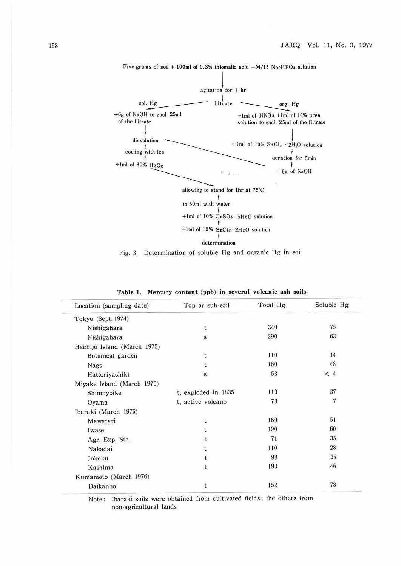

Five grams of soil + 100ml of 0.3% thiomalic acid  $-M/15$  Na2HPO4 solution

Pig. 3. Determination of soluble Hg and organic Hg in soil

| Location (sampling date)    | Top or sub-soil     | Total Hg | Soluble Hg     |
|-----------------------------|---------------------|----------|----------------|
| Tokyo (Sept. 1974)          |                     |          |                |
| Nishigahara                 | t                   | 340      | 75             |
| Nishigahara                 | $\mathbf{s}$        | 290      | 63             |
| Hachijo Island (March 1975) |                     |          |                |
| Botanical garden            | t                   | 110      | 14             |
| Nago                        | ŧ                   | 160      | 48             |
| Hattoriyashiki              | s                   | 53       | < 4            |
| Miyake Island (March 1975)  |                     |          |                |
| Shinmyoike                  | t, exploded in 1835 | 110      | 37             |
| Oyama                       | t, active volcano   | 73       | $\overline{7}$ |
| Ibaraki (March 1975)        |                     |          |                |
| Mawatari                    | t                   | 160      | 51             |
| Iwase                       |                     | 190      | 60             |
| Agr. Exp. Sta.              |                     | 71       | 35             |
| Nakadai                     |                     | 110      | 28             |
| Johoku                      |                     | 98       | 35             |
| Kashima                     | t                   | 190      | 46             |
| Kumamoto (March 1976)       |                     |          |                |
| Daikanbo                    |                     | 152      | 78             |

**Table 1. Mercury content (ppb) in several volcanic ash soils** 

Note: Ibaraki soils were obtained from cultivated fields; the others from non-agricultural lands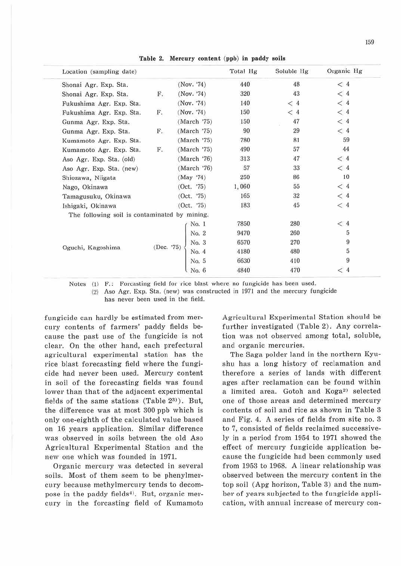| Location (sampling date)                      |    |                                                                                                             | Total Hg | Soluble Hg | Organic Hg                                |
|-----------------------------------------------|----|-------------------------------------------------------------------------------------------------------------|----------|------------|-------------------------------------------|
| Shonai Agr. Exp. Sta.                         |    | (Nov. '74)                                                                                                  | 440      | 48         | $<$ 4                                     |
| Shonai Agr. Exp. Sta.                         | F. | (Nov. '74)                                                                                                  | 320      | 43         | $<\,4$                                    |
| Fukushima Agr. Exp. Sta.                      |    | (Nov. '74)                                                                                                  | 140      | < 4        | < 4                                       |
| Fukushima Agr. Exp. Sta.                      | F. | (Nov. '74)                                                                                                  | 150      | $<$ 4      | < 4                                       |
| Gunma Agr. Exp. Sta.                          |    | (March '75)                                                                                                 | 150      | 47         | < 4                                       |
| Gunma Agr. Exp. Sta.                          | F. | (March 75)                                                                                                  | 90       | 29         | < 4                                       |
| Kumamoto Agr. Exp. Sta.                       |    | (March '75)                                                                                                 | 780      | 81         | 59                                        |
| Kumamoto Agr. Exp. Sta.                       | F. | (March '75)                                                                                                 | 490      | 57         | 44                                        |
| Aso Agr. Exp. Sta. (old)                      |    | (March 76)                                                                                                  | 313      | 47         | $<$ 4                                     |
| Aso Agr. Exp. Sta. (new)                      |    | (March '76)                                                                                                 | 57       | 33         | $<$ 4                                     |
| Shiozawa, Niigata                             |    | (May '74)                                                                                                   | 250      | 86         | 10                                        |
| Nago, Okinawa                                 |    | (Oct. 75)                                                                                                   | 1,060    | 55         | $\begin{array}{c} < 4 \\ < 4 \end{array}$ |
| Tamagusuku, Okinawa                           |    | (Oct. '75)                                                                                                  | 165      | 32         |                                           |
| Ishigaki, Okinawa                             |    | (Oct. 75)                                                                                                   | 183      | 45         | $<$ 4                                     |
| The following soil is contaminated by mining. |    |                                                                                                             |          |            |                                           |
|                                               |    | No. 1                                                                                                       | 7850     | 280        | $<$ 4                                     |
|                                               |    |                                                                                                             | 9470     | 260        | 5                                         |
|                                               |    | (Dec. '75) $\begin{bmatrix} \text{No. } 2 \\ \text{No. } 3 \\ \text{No. } 4 \\ \text{No. } 5 \end{bmatrix}$ | 6570     | 270        | 9                                         |
| Oguchi, Kagoshima                             |    |                                                                                                             | 4180     | 480        | 5                                         |
|                                               |    |                                                                                                             | 6630     | 410        | 9                                         |
|                                               |    | No. 6                                                                                                       | 4840     | 470        | $<$ 4                                     |

Table 2. Mercury content (ppb) in paddy soils

Notes  $(1)$  F.; Forcasting field for rice blast where no fungicide has been used.

(2) Aso Agr. Exp. Sta. (new) was constructed in 1971 and the mercury fungicide

has never been used in the field.

fungicide can hardly be estimated from mercury contents of farmers' paddy fields because the past use of the fungicide is not clear. On the other hand, each prefectural agricultural experimental station has the rice blast forecasting field where the fungicide had never been used. Mercury content in soil of the forecasting fields was found lower than that of the adjacent experimental fields of the same stations (Table 23). But, the difference was at most 300 ppb which is only one-eighth of the calculated value based on 16 years application. Similar difference was observed in soils between the old Aso Agricultural Experimental Station and the new one which was founded in 1971.

Organic mercury was detected in several soils. Most of them seem to be phenylmercury because methylmercury tends to decompose in the paddy fields<sup>4</sup>). But, organic mercury in the forcasting field of Kumamoto Agricultural Experimental Station should be further investigated (Table 2). Any correlation was not observed among total, soluble, and organic mercuries.

The Saga polder land in the northern Kyushu has a long history of reclamation and therefore a series of lands with different ages after reclamation can be found within a limited area. Gotoh and Koga2) selected one of those areas and determined mercury contents of soil and rice as shown in Table 3 and Fig. 4. A series of fields from site no. 3 to 7, consisted of fields reclaimed successively in a period from 1954 to 1971 showed the effect of mercury fungicide application because the fungicide had been commonly used from 1953 to 1968. A linear relationship was observed between the mercury content in the top soil (Apg horizon, Table 3) and the number of years subjected to the fungicide application, with annual increase of mercury con-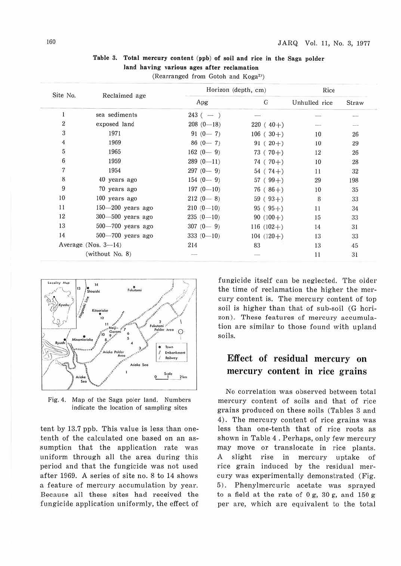| Site No.                |                        |               | Horizon (depth, cm) | Rice          |        |
|-------------------------|------------------------|---------------|---------------------|---------------|--------|
|                         | Reclaimed age          | Apg           | G                   | Unhulled rice | Straw  |
| 1                       | sea sediments          | $243$ ( $-$ ) |                     |               |        |
| $\overline{2}$          | exposed land           | $208(0-18)$   | $220(40+)$          | $---$         |        |
| $\overline{3}$          | 1971                   | $91(0-7)$     | $106(30+)$          | 10            | 26     |
| $\it 4$                 | 1969                   | $86(0 - 7)$   | $91(20+)$           | 10            | 29     |
| $\overline{\mathbf{5}}$ | 1965                   | $162(0-9)$    | $73(70+)$           | 12            | 26     |
| $\sqrt{6}$              | 1959                   | $289(0-11)$   | $74(70+)$           | 10            | 28     |
| $\overline{7}$          | 1954                   | $297(0-9)$    | $54(74+)$           | 11            | 32     |
| 8                       | 40 years ago           | $154(0 - 9)$  | $57(99+)$           | 29            | 198    |
| 9                       | 70 years ago           | $197(0 - 10)$ | $76(86+)$           | 10            | 35     |
| 10                      | 100 years ago          | $212(0-8)$    | $59(93+)$           | 8             | 33     |
| 11                      | 150-200 years ago      | $210(0-10)$   | $95(95+)$           | 11            | $34\,$ |
| 12                      | $300 - 500$ years ago  | $235(0-10)$   | $90(100+)$          | 15            | 33     |
| 13                      | $500 - 700$ years ago  | $307(0-9)$    | $116(102+)$         | 14            | 31     |
| 14                      | 500-700 years ago      | $333(0 - 10)$ | $104(120+)$         | 13            | 33     |
|                         | Average (Nos. $3-14$ ) | 214           | 83                  | 13            | 45     |
|                         | (without No. 8)        |               |                     | 11            | 31     |

**Table 3. Total mercury content (ppb) of soil and rice in the Saga polder land having various ages after reclamation** 

(Rearranged from Gotoh and Koga2')



Fig. 4. Map of the Saga poler land. Numbers indicate the location of sampling sites

tent by 13.7 ppb. This value is less than onetenth of the calculated one based on an assumption that the application rate was uniform through all the area during this period and that the fungicide was not used after 1969. A series of site no. 8 to 14 shows a feature of mercury accumulation by year. Because all these sites had received the fungicide application uniformly, the effect of

fungicide itself can be neglected. The older the time of reclamation the higher the mercury content is. The mercury content of top soil is higher than that of sub-soil (G horizon). These features of mercury accumulation are similar to those found with upland soils.

## **Effect of residual mercury on mercury content in rice grains**

No correlation was observed between total mercury content of soils and that of rice grains produced on these soils (Tables 3 and 4). The mercury content of rice grains was less than one-tenth that of rice roots as shown in Table 4 . Perhaps, only few mercury may move or translocate in rice plants. A slight rise in mercury uptake of rice grain induced by the residual mercury was experimentally demonstrated (Fig. 5). Phenylmercuric acetate was sprayed to a field at the rate of  $0 g$ ,  $30 g$ , and  $150 g$ per are, which are equivalent to the total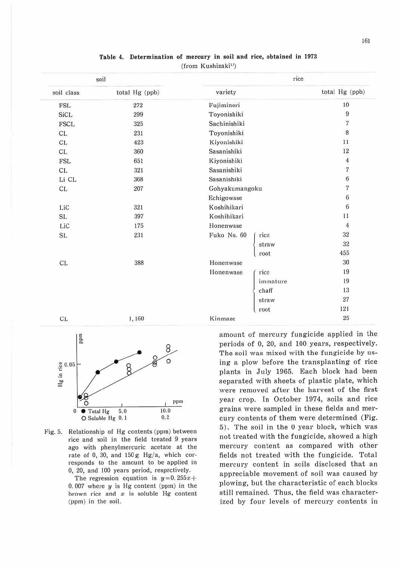| soil        |                | rice           |          |                          |
|-------------|----------------|----------------|----------|--------------------------|
| soil class  | total Hg (ppb) | variety        |          | total Hg (ppb)           |
| <b>FSL</b>  | 272            | Fujiminori     |          |                          |
| <b>SiCL</b> | 299            | Toyonishiki    |          | 9                        |
| <b>FSCL</b> | 325            | Sachinishiki   |          | $\overline{\mathcal{I}}$ |
| CL.         | 231            | Toyonishiki    |          | $\,8$                    |
| CL.         | 423            | Kiyonishiki    |          | 11                       |
| CL.         | 360            | Sasanishiki    |          |                          |
| <b>FSL</b>  | 651            | Kiyonishiki    |          |                          |
| CL.         | 321            | Sasanishiki    |          |                          |
| Li CL       | 368            | Sasanishiki    |          |                          |
| CL.         | 207            | Gohyakumangoku |          | $\boldsymbol{7}$         |
|             |                | Echigowase     |          | $\,$ 6                   |
| LiC         | 321            | Koshihikari    |          | 6                        |
| SL          | 397            | Koshihikari    |          | 11                       |
| LiC         | 175            | Honenwase      |          | $\boldsymbol{4}$         |
| SL.         | 231            | Fuko No. 60    | rice     | 32                       |
|             |                |                | straw    | 32                       |
|             |                |                | root     | 455                      |
| CL.         | 388            | Honenwase      |          | 30                       |
|             |                | Honenwase      | rice     | 19                       |
|             |                |                | immature | 19                       |
|             |                |                | chaff    | 13                       |
|             |                |                | straw    | 27                       |
|             |                |                | root     | 121                      |
| CL.         | 1,160          | Kinmaze        |          | 25                       |

### Table 4. Determination of mercury in soil and rice, obtained in 1973 (from Kushizaki<sup>1)</sup>)



Fig. 5. Relationship of Hg contents (ppm) between rice and soil in the field treated 9 years ago with phenylmercuric acetate at the rate of 0, 30, and  $150 g$  Hg/a, which corresponds to the amount to be applied in 0, 20, and 100 years period, respectively.

> The regression equation is  $y=0.255x+$ 0. 007 where *y* is Hg content (ppm) in the brown rice and  $x$  is soluble Hg content (ppm) in the soil.

amount of mercury fungicide applied in the periods of 0, 20, and 100 years, respectively. The soil was mixed with the fungicide by using a plow before the transplanting of rice plants in July 1965. Each block had been separated with sheets of plastic plate, which were removed after the harvest of the first year crop. 1n October 1974, soils and rice grains were sampled in these fields and mercury contents of them were determined (Fig. 5). The soil in the O year block, which was not treated with the fungicide, showed a high mercury content as compared with other fields not treated with the fungicide. Total mercury content in soils disclosed that an appreciable movement of soil was caused by plowing, but the characteristic of each blocks still remained. Thus, the field was characterized by four levels of mercury contents in